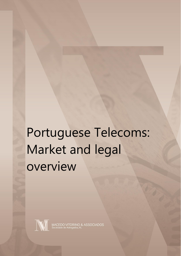# Portuguese Telecoms: Market and legal overview



MACEDO VITORINO & ASSOCIADOS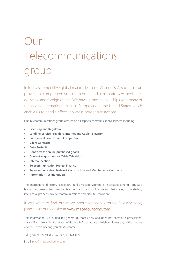# Our Telecommunications group

In today's competitive global market, Macedo Vitorino & Associados can provide a comprehensive commercial and corporate law advice to domestic and foreign clients. We have strong relationships with many of the leading international firms in Europe and in the United States, which enable us to handle effectively cross border transactions.

Our Telecommunications group advises on all aspects communications services including:

- **Licensing and Regulation**
- **Landline Service Providers, Internet and Cable Television**
- **European Union Law and Competition**
- **Client Contracts**
- **Data Protection**
- **Contracts for online purchased goods**
- **Content Acquisition for Cable Television**
- **Interconnection**
- **Telecommunication Project Finance**
- **Telecommunication Network Construction and Maintenance Contracts**
- **Information Technology (IT)**

The international directory "Legal 500" ranks Macedo Vitorino & Associados among Portugal's leading commercial law firms, for its expertise in banking, finance and derivatives, corporate law, intellectual property, tax, telecommunications and dispute resolution.

### If you want to find out more about Macedo Vitorino & Associados, please visit our website at www.macedovitorino.com.

This information is provided for general purposes only and does not constitute professional advice. If you are a client of Macedo Vitorino & Associados and wish to discuss any of the matters covered in this briefing you please contact:

Tel.: (351) 21 324 1900 – Fax: (351) 21 324 1929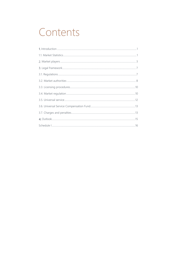## Contents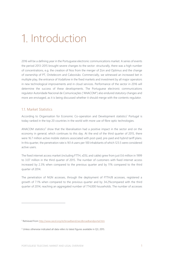## Introduction

2016 will be a defining year in the Portuguese electronic communications market. A series of events the period 2013-2015 brought severe changes to the sector: structurally, there was a high number of concentrations, e.g. the creation of Nos from the merger of Zon and Optimus and the change of ownership of PT, Onitelecom and Cabovisão. Commercially, we witnessed an increased bet in multiple play, the entrance of Vodafone in the fixed markets and investment by all major operators in new technological improvements and in cloud services. Performance of the sector in 2016 will determine the success of these developments. The Portuguese electronic communications regulator Autoridade Nacional de Comunicações ("ANACOM") also endured statutory changes and more are envisaged, as it is being discussed whether it should merge with the contents regulator.

#### 1.1. Market Statistics

 $\overline{a}$ 

According to Organisation for Economic Co-operation and Development statistics <sup>1</sup> Portugal is today ranked in the top 20 countries in the world with more use of fibre optic technologies.

ANACOM statistics<sup>2</sup> show that the liberalisation had a positive impact in the sector and on the economy in general, which continues to this day. At the end of the third quarter of 2015, there were 16.7 million active mobile stations associated with post-paid, pre-paid and hybrid tariff plans. In this quarter, the penetration rate is 161.4 users per 100 inhabitants of which 123.5 were considered active users.

The fixed internet access market (including FTTH, xDSL and cable) grew from just 0.6 million in 1999 to 3.07 million in the third quarter of 2015. The number of customers with fixed internet access increased by 2.3% when compared to the previous quarter and by 11% compared to the third quarter of 2014.

The penetration of NGN accesses, through the deployment of FTTH/B accesses, registered a growth of 7.1% when compared to the previous quarter and by 34.2%compared with the third quarter of 2014, reaching an aggregated number of 774,000 households. The number of accesses

<sup>1</sup> Retrieved from<http://www.oecd.org/sti/broadband/oecdbroadbandportal.htm>

<sup>&</sup>lt;sup>2</sup> Unless otherwise indicated all data refers to latest figures available in Q3, 2015.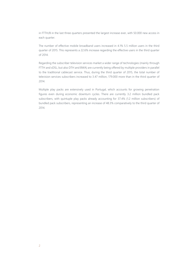in FTTH/B in the last three quarters presented the largest increase ever, with 50.000 new access in each quarter.

The number of effective mobile broadband users increased in 4.1% 5.5 million users in the third quarter of 2015. This represents a 22.6% increase regarding the effective users in the third quarter of 2014.

Regarding the subscriber television services market a wider range of technologies (mainly through FTTH and xDSL, but also DTH and BWA) are currently being offered by multiple providers in parallel to the traditional cablecast service. Thus, during the third quarter of 2015, the total number of television services subscribers increased to 3.47 million, 179.000 more than in the third quarter of 2014.

Multiple play packs are extensively used in Portugal, which accounts for growing penetration figures even during economic downturn cycles. There are currently 3.2 million bundled pack subscribers, with quintuple play packs already accounting for 37.4% (1.2 million subscribers) of bundled pack subscribers, representing an increase of 48.3% comparatively to the third quarter of 2014.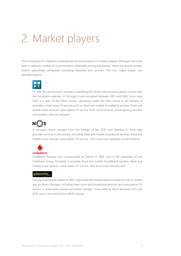## 2. Market players

The Portuguese EC market is characterised by the existence of multiple players. Although there has been a relevant number of concentrations, especially among big players, there are several smaller and/or specialised companies providing networks and services. The four major players are identified below.

PT was the government company operating the whole telecommunications market and the incumbent operator in Portugal. It was privatised between 1995 and 2000. Since June 2015 it is part of the Altice Group, operating under the Meo brand in all markets, it provides a wide array of services such as fixed and mobile broadband services, fixed and mobile voice services, subscription TV service, VoD, cloud services, cloud gaming services and wireless internet hotspots;

### **N** S

A company which resulted from the merger of the ZON and Optimus in 2014, Nos provides services in all markets, including fixed and mobile broadband services, fixed and mobile voice services, subscription TV service, VoD, cloud and operates movie theatres;



Vodafone Portugal was incorporated as Telecel in 1992, now a full subsidiary of the Vodafone Group. Presently it provides fixed and mobile broadband services, fixed and mobile voice services, subscription TV service, VoD and Cloud services; and

#### cobovisão

Having entered the market in 1993, Cabovisão has traditionally provided services in central and southern Portugal, including fixed voice and broadband services and subscription TV service. It underwent several ownership changes, it was held by Altice between 2011 and 2015 and is now held by the APAX Group.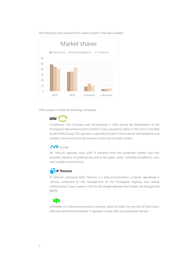The following chart presents their market shares in the fixed markets:



Other players include the following companies:



Onitelecom: The Company was incorporated in 2000 during the liberalisation of the Portuguese telecommunications market. It was acquired by Altice in 2013 and is now held by the APAX Group. This operator is specially focused in fixed internet and telephone and multiple cloud services to the business sector and to public entities;

#### $\mathbf{M}$ TFI FCOM

AR Telecom operates since 2000. It withdrew from the residential markets and now provides solutions to professionals and to the public sector, including broadband, voice and multiple cloud services;

### **IP Telecom**

IP Telecom, previously Refer Telecom, is a telecommunications company specialised in services connected to the management of the Portuguese highway and railway infrastructure. It was created in 2015 by the merger between the Estradas de Portugal and REFER;



Uniteldata is a telecommunications company which provides the services of fixed voice, television and fixed broadband. It operates in areas with low population density;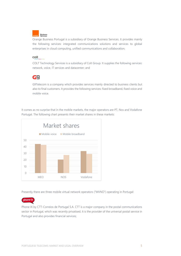

Orange Business Portugal is a subsidiary of Orange Business Services. It provides mainly the following services: integrated communications solutions and services to global enterprises in cloud computing, unified communications and collaboration;

#### coll

COLT Technology Services is a subsidiary of Colt Group. It supplies the following services: network, voice, IT services and datacenter; and



G9Telecom is a company which provides services mainly directed to business clients but also to final customers. It provides the following services: fixed broadband, fixed voice and mobile voice.

It comes as no surprise that in the mobile markets, the major operators are PT, Nos and Vodafone Portugal. The following chart presents their market shares in these markets:



Presently there are three mobile virtual network operators ("MVNO") operating in Portugal:

phone-ix

Phone IX by CTT-Correios de Portugal S.A. CTT is a major company in the postal communications sector in Portugal, which was recently privatised. It is the provider of the universal postal service in Portugal and also provides financial services;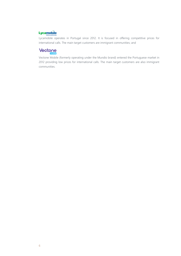### **Lycamobile**

Lycamobile operates in Portugal since 2012. It is focused in offering competitive prices for international calls. The main target customers are immigrant communities; and

### Vectone

Vectone Mobile (formerly operating under the Mundio brand) entered the Portuguese market in 2012 providing low prices for international calls. The main target customers are also immigrant communities.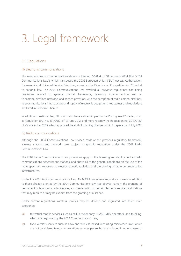# Legal framework

#### 3.1. Regulations

#### (1) Electronic communications

The main electronic communications statute is Law no. 5/2004, of 10 February 2004 (the "2004 Communications Law"), which transposed the 2002 European Union ("EU") Access, Authorisation, Framework and Universal Service Directives, as well as the Directive on Competition in EC market to national law. The 2004 Communications Law revoked all previous regulations containing provisions related to general market framework, licensing, interconnection and all telecommunications networks and service provision, with the exception of radio communications, telecommunications infrastructure and supply of electronic equipment. Key statues and regulations are listed in Schedule I hereto.

In addition to national law, EU norms also have a direct impact in the Portuguese EC sector, such as Regulation (EU) no. 531/2012, of 13 June 2012, and more recently the Regulation no. 2015/2120, of 25 November 2015, which approved the end of roaming charges within EU space by 15 July 2017.

#### (2) Radio communications

Although the 2004 Communications Law revised most of the previous regulatory framework, wireless stations and networks are subject to specific regulation under the 2001 Radio Communications Law.

The 2001 Radio Communications Law provisions apply to the licensing and deployment of radio communications networks and stations, and above all to the general conditions on the use of the radio spectrum, exposure to electromagnetic radiation and the sharing of radio communication infrastructures.

Under the 2001 Radio Communications Law, ANACOM has several regulatory powers in addition to those already granted by the 2004 Communications law (see above), namely, the granting of permanent or temporary radio licences, and the definition of certain classes of services and stations that may require or may be exempt from the granting of a licence.

Under current regulations, wireless services may be divided and regulated into three main categories:

- (a) terrestrial mobile services such as cellular telephony (GSM/UMTS operators) and trunking, which are regulated by the 2004 Communications Law;
- (b) fixed wireless services such as FWA and wireless leased lines using microwave links, which are not considered telecommunications services per se, but are included in other classes of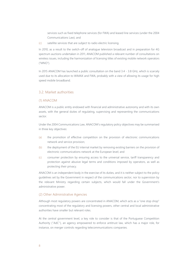services such as fixed telephone services (for FWA) and leased line services (under the 2004 Communications Law); and

(c) satellite services that are subject to radio electric licensing.

In 2010, as a result to the switch-off of analogue television broadcast and in preparation for 4G spectrum auctions undertaken in 2011, ANACOM published a relevant number of consultations on wireless issues, including the harmonization of licensing titles of existing mobile network operators ("MNO").

In 2015 ANACOM has launched a public consultation on the band 3.4 - 3.8 GHz, which is scarcely used due to its allocation to WiMAX and FWA, probably with a view of allowing its usage for high speed mobile broadband.

#### 3.2. Market authorities

#### (1) ANACOM

ANACOM is a public entity endowed with financial and administrative autonomy and with its own assets, with the general duties of regulating, supervising and representing the communications sector.

Under the 2004 Communications Law, ANACOM's regulatory policy objectives may be summarised in three key objectives:

- (a) the promotion of effective competition on the provision of electronic communications network and service provision;
- (b) the deployment of the EU internal market by removing existing barriers on the provision of electronic communications network at the European level; and
- (c) consumer protection by ensuring access to the universal service, tariff transparency and protection against abusive legal terms and conditions imposed by operators, as well as protecting their privacy.

ANACOM is an independent body in the exercise of its duties, and it is neither subject to the policy guidelines set by the Government in respect of the communications sector, nor to supervision by the relevant Ministry regarding certain subjects, which would fall under the Government's administrative power.

#### (2) Other Administrative Agencies

Although most regulatory powers are concentrated in ANACOM, which acts as a "one stop shop" concentrating most of the regulatory and licensing powers, other central and local administrative authorities have smaller but relevant roles.

At the central government level, a key role to consider is that of the Portuguese Competition Authority (''AdC''), an agency empowered to enforce antitrust law, which has a major role, for instance, on merger controls regarding telecommunications companies.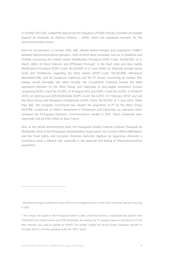In October 2013 AdC created the Special Unit for Evaluation of Public Policies (*Conselho da Unidade Especial de Avaliação de Políticas Públicas* – UEAP), which has expressed concerns for the telecommunication sector.

Since its incorporation, in January 2003, AdC cleared several mergers and acquisitions ("M&A") between telecommunications operators, most of which were successful, such as: (i) Vodafone and OniWay concerning the mobile market (Notification Procedure DOPC-Ccent. No.09/2003 of 21 March 2003); (ii) Novis Telecom and KPNQwest Portugal<sup>3</sup>, in the fixed voice and data market (Notification Procedure DOPC-Ccent. No.14/2004 of 21 June 2004); (iii) Riverside (private equity fund) and Onitelecom, regarding the fixed market (DOPC-Ccent. No.58/2006—Winreason (Riverside)/ONI); and (iv) Sonaecom (Optimus) and the PT Group, concerning all markets (this merger would ultimately fail). Most recently, the Competition Authority cleared the M&A operations between (v) the Altice Group and Cabovisão (a two-staged acquisition process comprising DOPC-Ccent No.37/2012, of 10 August 2012 and DOPC-Ccent No.11/2013, of 18 March 2013); (vi) Optimus and ZON Multimedia (DOPC-Ccent. No.5/2013, of 2 February 2013)<sup>4</sup>; and (vii) the Altice Group and Winreason (Onitelecom) (DOPC-Ccent. No.19/2013, of 3 June 2013). Other than AdC, the European Commission has cleared the acquisition of PT by the Altice Group (M.4799), conditional on Altice's divestment in Onitelecom and Cabovisão, an operation which reshaped the Portuguese Electronic Communications market in 2015. These companies were reportedly sold by €150 million to Apax France.

Also, at the central administration level, the Portuguese Quality Institute (*Instituto Português da Qualidade*), which is the Portuguese standardisation organisation, the Customs Office (*Alfândegas*) and the Food Safety and Economic Activities Authority (*Agência da Segurança Alimentar e Económica*) have a relevant role, especially in the approval and testing of telecommunications equipment.

 $\overline{a}$ 

<sup>&</sup>lt;sup>3</sup> KPNQwest Portugal resulted from a spin off from the Portuguese branch of the Dutch-American operator occurring in 2002.

<sup>4</sup> This merger, the largest in the Portuguese market to date, concerned Optimus, a quadruple play operator with GSM/UMTS/LTE mobile licenses and ZON Multimedia, the leading Pay TV operator based on Eurodocsys 3.0 and fibre networks who used to operate an MVNO. This merger created the second largest integrated operator in Portugal, which is currently operating under the ''NOS'' brand.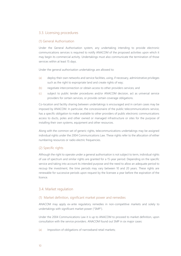#### 3.3. Licensing procedures

#### (1) General Authorisation

Under the General Authorisation system, any undertaking intending to provide electronic communications services is required to notify ANACOM of the proposed activities upon which it may begin its commercial activity. Undertakings must also communicate the termination of those services within at least 15 days.

Under the general authorisation undertakings are allowed to:

- (a) deploy their own networks and service facilities, using, if necessary, administrative privileges such as the right to expropriate land and create rights of way;
- (b) negotiate interconnection or obtain access to other providers services; and
- (c) subject to public tender procedures and/or ANACOM decision, act as universal service providers for certain services, or provide certain coverage obligations.

Co-location and facility sharing between undertakings is encouraged and in certain cases may be imposed by ANACOM. In particular, the concessionaire of the public telecommunications service, has a specific obligation to make available to other providers of public electronic communications access to ducts, poles and other owned or managed infrastructure or sites for the purpose of installing their own systems, equipment and other resources.

Along with the common set of generic rights, telecommunications undertakings may be assigned individual rights under the 2004 Communications Law. These rights refer to the allocation of either numbering resources or radio electric frequencies.

#### (2) Specific rights

Although the right to operate under a general authorisation is not subject to term, individual rights of use of spectrum and similar rights are granted for a 15-year period. Depending on the specific service and taking into account its intended purpose and the need to allow an adequate period to recoup the investment, the time periods may vary between 10 and 20 years. These rights are renewable for successive periods upon request by the licensee a year before the expiration of the licence.

#### 3.4. Market regulation

#### (1) Market definition, significant market power and remedies

ANACOM may apply ex-ante regulatory remedies in non-competitive markets and solely to undertakings with significant market power ("SMP").

Under the 2004 Communications Law it is up to ANACOM to proceed to market definition, upon consultation with the service providers. ANACOM found out SMP in six major cases:

(a) Imposition of obligations of narrowband retail markets;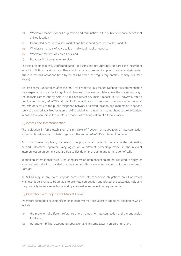- (b) Wholesale markets for call origination and termination in the public telephone network at a fixed location;
- (c) Unbundled access wholesale market and broadband access wholesale market;
- (d) Wholesale markets of voice calls on individual mobile networks;
- (e) Wholesale markets of leased lines; and
- (f) Broadcasting transmission services.

The initial findings mostly confirmed earlier decisions and unsurprisingly declared the incumbent as holding SMP on most markets. These findings were subsequently upheld by later analysis carried out in numerous occasions both by ANACOM and other regulatory entities, namely AdC (see above).

Market analysis undertaken after the 2007 review of the EU's Market Definition Recommendation were expected to give rise to significant changes in the way regulators view the market—though, the analysis carried out by ANACOM did not reflect any major impact. In 2014 however, after a public consultation, ANACOM: (i) revoked the obligations it imposed to operators in the retail markets of access to the public telephone network at a fixed location and markets of telephone services provided at a fixed location; and (ii) decided to maintain with some changes the obligations imposed to operators in the wholesale market of call origination at a fixed location.

#### (2) Access and Interconnection

The legislation in force establishes the principle of freedom of negotiation of interconnection agreements between all undertakings, notwithstanding ANACOM's intervention powers.

As in the former regulatory framework, the property of the traffic remains in the originating network. However, operators may agree on a different ownership model in the relevant interconnection agreement and are free to decide on the routing and termination of calls.

In addition, international carriers requiring access or interconnection are not required to apply for a general authorisation provided that they do not offer any electronic communications services in Portugal.

ANACOM may, in any event, impose access and interconnection obligations on all operators whenever it believes it to be suitable to promote competition and protect the customer, including the possibility to impose technical and operational interconnection requirements.

#### (3) Operators with Significant Market Power

Operators deemed to have significant market power may be subject to additional obligations which include:

- (a) the provision of different reference offers, namely for interconnection and the unbundled local loop;
- (b) transparent billing, accounting separation and, in some cases, non-discrimination;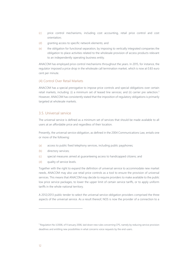- (c) price control mechanisms, including cost accounting, retail price control and cost orientation;
- (d) granting access to specific network elements; and
- (e) the obligation for functional separation, by imposing to vertically integrated companies the obligation to place activities related to the wholesale provision of access products relevant to an independently operating business entity.

ANACOM has employed price control mechanisms throughout the years. In 2015, for instance, the regulator imposed a price drop in the wholesale call termination market, which is now at 0.83 euro cent per minute.

#### (4) Control Over Retail Markets

ANACOM has a special prerogative to impose price controls and special obligations over certain retail markets, including: (i) a minimum set of leased line services; and (ii) carrier pre selection.<sup>5</sup> However, ANACOM has consistently stated that the imposition of regulatory obligations is primarily targeted at wholesale markets.

#### 3.5. Universal service

The universal service is defined as a minimum set of services that should be made available to all users at an affordable price and regardless of their location.

Presently, the universal service obligation, as defined in the 2004 Communications Law, entails one or more of the following:

- (a) access to public fixed telephony services, including public payphones;
- (b) directory services;
- (c) special measures aimed at guaranteeing access to handicapped citizens; and
- (d) quality of service levels.

Together with the right to expand the definition of universal service to accommodate new market needs, ANACOM may also use retail price controls as a tool to ensure the provision of universal services. This means that ANACOM may decide to require providers to make available to the public low price service packages, to lower the upper limit of certain service tariffs, or to apply uniform tariffs in the whole national territory.

A 2012/2013 public tender to select the universal service obligation providers comprised the three aspects of the universal service. As a result thereof, NOS is now the provider of a connection to a

 $\overline{a}$ 

<sup>5</sup> Regulation No.1/2006, of 9 January 2006, laid down new rules concerning CPS, namely by reducing service provision deadlines and entitling new possibilities in what concerns voice requests by the end-users.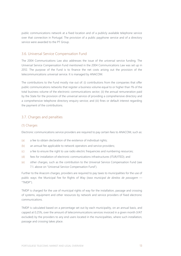public communications network at a fixed location and of a publicly available telephone service over that connection in Portugal. The provision of a public payphone service and of a directory service were awarded to the PT Group.

#### 3.6. Universal Service Compensation Fund

The 2004 Communications Law also addresses the issue of the universal service funding. The Universal Service Compensation Fund mentioned in the 2004 Communications Law was set up in 2012. The purpose of the Fund is to finance the net costs arising out the provision of the telecommunications universal service. It is managed by ANACOM.

The contributions to the Fund mostly rise out of: (i) contributions from the companies that offer public communications networks that register a business volume equal to or higher than 1% of the total business volume of the electronic communications sector; (ii) the annual remuneration paid by the State for the provision of the universal service of providing a comprehensive directory and a comprehensive telephone directory enquiry service; and (iii) fines or default interest regarding the payment of the contributions.

#### 3.7. Charges and penalties

#### (1) Charges

Electronic communications service providers are required to pay certain fees to ANACOM, such as:

- (a) a fee to obtain declaration of the existence of individual rights;
- (b) an annual fee applicable to network operators and service providers;
- (c) a fee to ensure the right to use radio electric frequencies and numbering resources;
- (d) fees for installation of electronic communications infrastructures (ITUR/ITED); and
- (e) other charges, such as the contribution to the Universal Service Compensation Fund (see 7.1. above on "Universal Service Compensation Fund").

Further to the Anacom charges, providers are required to pay taxes to municipalities for the use of public ways: the Municipal Fee for Rights of Way (*taxa municipal de direitos de passagem* — "TMDP").

TMDP is charged for the use of municipal rights of way for the installation, passage and crossing of systems, equipment and other resources by network and service providers of fixed electronic communications.

TMDP is calculated based on a percentage set out by each municipality, on an annual basis, and capped at 0.25%, over the amount of telecommunications services invoiced in a given month (VAT excluded) by the providers to any end users located in the municipalities, where such installation, passage and crossing takes place.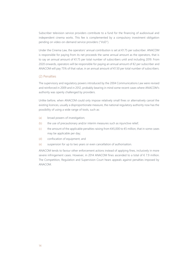Subscriber television service providers contribute to a fund for the financing of audiovisual and independent cinema works. This fee is complemented by a compulsory investment obligation pending on video-on-demand service providers (''VoD'').

Under the Cinema Law, the operators' annual contribution is set at  $£1.75$  per subscriber. ANACOM is responsible for paying from its net proceeds the same annual amount as the operators, that is to say an annual amount of €1.75 per total number of subscribers until and including 2019. From 2020 onwards, operators will be responsible for paying an annual amount of €2 per subscriber and ANACOM will pay 75% of that value, in an annual amount of €1.50 per total number of subscribers.

#### (2) Penalties

The supervisory and regulatory powers introduced by the 2004 Communications Law were revised and reinforced in 2009 and in 2012, probably bearing in mind some recent cases where ANACOM's authority was openly challenged by providers.

Unlike before, when ANACOM could only impose relatively small fines or alternatively cancel the existing licences, usually a disproportionate measure, the national regulatory authority now has the possibility of using a wide range of tools, such as:

- (a) broad powers of investigation;
- (b) the use of precautionary and/or interim measures such as injunctive relief;
- (c) the amount of the applicable penalties raising from  $\epsilon$ 45,000 to  $\epsilon$ 5 million, that in some cases may be applicable per day;
- (d) confiscation of equipment; and
- (e) suspension for up to two years or even cancellation of authorisation.

ANACOM tends to favour other enforcement actions instead of applying fines, inclusively in more severe infringement cases. However, in 2014 ANACOM fines ascended to a total of € 7.9 million. The Competition, Regulation and Supervision Court hears appeals against penalties imposed by ANACOM.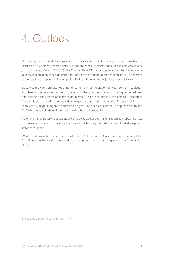### 4. Outlook

The Portuguese EC market is expecting changes as over the last few years there has been a discussion on whether to merge ANACOM and the media contents regulator *Entidade Reguladora para a Comunicação Social* ("ERC"). The Chair of ANACOM has also pointed out that having a role in content regulation would be important for electronic communications regulators. This merger of the regulators depends solely on political will, as there are no major legal obstacles to it.

EC service providers are also lobbying for some form of integration between content regulation and telecom regulation, further to, among others, some operators having achieved key transmission deals with major sports clubs. In effect, unlike in countries such as the UK, Portuguese football clubs are entering into individual long-term transmission deals with EC operators instead of collectively negotiating their transmission rights. The deals are currently being assessed by the AdC, which may void them if they are found to breach competition law.

Major and minor EC service providers are employing aggressive market strategies in obtaining new customers and are also increasing their bets in technology markets such as cloud storage and software solutions.

M&A operations within the sector are not over, as Cabovisão and Onitelecom, which were sold to Apax France, are likely to be integrated into other providers or to receiving investment from foreign players.

© Macedo Vitorino & Associados – 2015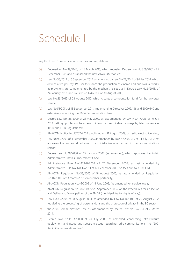### Schedule I

Key Electronic Communications statutes and regulations.

- (a) Decree-Law No.39/2015, of 16 March 2015, which repealed Decree Law No.309/2001 of 7 December 2001 and established the new ANACOM statues;
- (b) Law No.55/2012 of 6 September 2012, as amended by Law No.28/2014 of 9 May 2014, which defines a fee per Pay TV user to finance the production of cinema and audiovisual works. Its provisions are complemented by the mechanisms set out in Decree Law No.9/2013, of 24 January 2013, and by Law No.124/2013, of 30 August 2013;
- (c) Law No.35/2012 of 23 August 2012, which creates a compensation fund for the universal service;
- (d) Law No.51/2011, of 13 September 2011, implementing Directives 2009/136 and 2009/140 and extensively amending the 2004 Communication Law;
- (e) Decree Law No.123/2009 of 21 May 2009, as last amended by Law No.47/2013 of 10 July 2013, setting up rules on the access to infrastructure suitable for usage by telecom services (ITUR and ITED Regulations);
- (f) ANACOM Notice No.15252/2009, published on 31 August 2009, on radio electric licensing;
- (g) Law No.99/2009 of 4 September 2009, as amended by Law No.46/2011, of 24 July 2011, that approves the framework scheme of administrative offences within the communications sector;
- (h) Decree Law No.18/2008 of 29 January 2008 (as amended), which approves the Public Administrative Entities Procurement Code;
- (i) Administrative Rule No.1473-B/2008 of 17 December 2008, as last amended by Administrative Rule No.378-D/2013 of 17 December 2013, on fees due to ANACOM.
- (j) ANACOM Regulation No.58/2005 of 18 August 2005, as last amended by Regulation No.114/2012 of 13 March 2012, on number portability;
- (k) ANACOM Regulation No.46/2005 of 14 June 2005, (as amended) on service levels;
- (l) ANACOM Regulation No.38/2004 of 29 September 2004, on the Procedures for Collection and Delivery to Municipalities of the TMDP (municipal fee for rights of way);
- (m) Law No.41/2004 of 18 August 2004, as amended by Law No.46/2012 of 29 August 2012, regulating the processing of personal data and the protection of privacy in the EC sector;
- (n) the 2004 Communications Law, as last amended by Decree-Law No.35/2014, of 7 March 2014;
- (o) Decree Law No.151-A/2000 of 20 July 2000, as amended, concerning infrastructure deployment and usage and spectrum usage regarding radio communications (the "2001 Radio Communications Law").